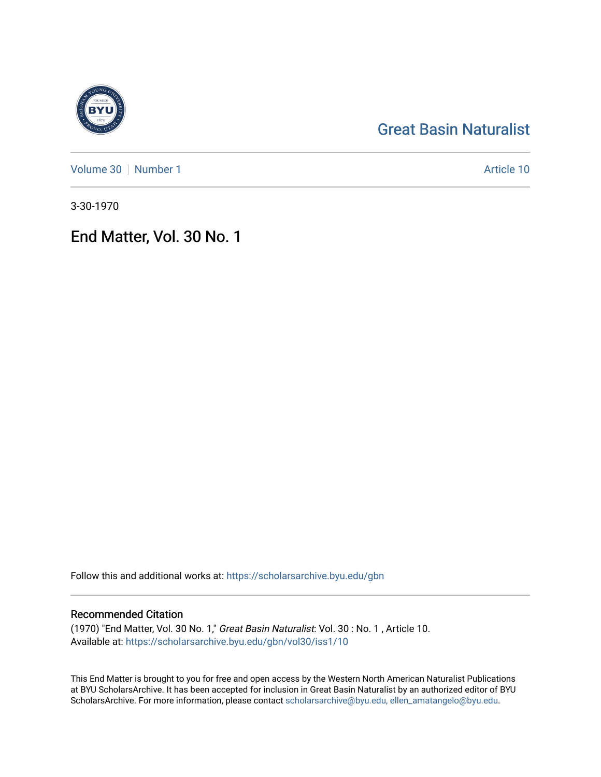# [Great Basin Naturalist](https://scholarsarchive.byu.edu/gbn)

[Volume 30](https://scholarsarchive.byu.edu/gbn/vol30) [Number 1](https://scholarsarchive.byu.edu/gbn/vol30/iss1) Article 10

3-30-1970

End Matter, Vol. 30 No. 1

Follow this and additional works at: [https://scholarsarchive.byu.edu/gbn](https://scholarsarchive.byu.edu/gbn?utm_source=scholarsarchive.byu.edu%2Fgbn%2Fvol30%2Fiss1%2F10&utm_medium=PDF&utm_campaign=PDFCoverPages) 

# Recommended Citation

(1970) "End Matter, Vol. 30 No. 1," Great Basin Naturalist: Vol. 30 : No. 1 , Article 10. Available at: [https://scholarsarchive.byu.edu/gbn/vol30/iss1/10](https://scholarsarchive.byu.edu/gbn/vol30/iss1/10?utm_source=scholarsarchive.byu.edu%2Fgbn%2Fvol30%2Fiss1%2F10&utm_medium=PDF&utm_campaign=PDFCoverPages) 

This End Matter is brought to you for free and open access by the Western North American Naturalist Publications at BYU ScholarsArchive. It has been accepted for inclusion in Great Basin Naturalist by an authorized editor of BYU ScholarsArchive. For more information, please contact [scholarsarchive@byu.edu, ellen\\_amatangelo@byu.edu.](mailto:scholarsarchive@byu.edu,%20ellen_amatangelo@byu.edu)

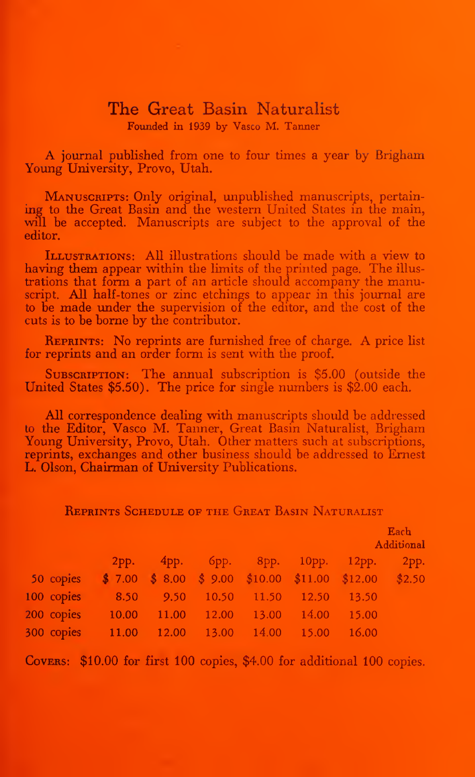## The Great Basin Naturalist Founded in 1939 by Vasco M. Tanner

A journal published from one to four times <sup>a</sup> year by Brigham Young University, Provo, Utah.

MANUSCRIPTS: Only original, unpublished manuscripts, pertaining to the Great Basin and the western United States in the main, will be accepted. Manuscripts are subject to the approval of the editor.

ILLUSTRATIONS: All illustrations should be made with a view to having them appear within the limits of the printed page. The illus trations that form a part of an article should accompany the manuscript. All half-tones or zinc etchings to appear in this journal are to be made under the supervision of the editor, and the cost of the cuts is to be borne by the contributor.

**REPRINTS:** No reprints are furnished free of charge. A price list for reprints and an order form is sent with the proof.

SUBSCRIPTION: The annual subscription is \$5.00 (outside the United States \$5.50). The price for single numbers is \$2.00 each.

All correspondence dealing with manuscripts should be addressed to the Editor, Vasco M. Tanner, Great Basin Naturalist, Brigham Young University, Provo, Utah. Other matters such at subscriptions, reprints, exchanges and other business should be addressed to Ernest L. Olson, Chairman of University Publications.

REPRINTS SCHEDULE OF THE GREAT BASIN NATURALIST

|            |       |                                                      |                            |       |       | Each<br>Additional |      |
|------------|-------|------------------------------------------------------|----------------------------|-------|-------|--------------------|------|
|            | 2pp.  |                                                      | 4рр. 6рр. 8рр. 10рр. 12рр. |       |       |                    | 2pp. |
| 50 copies  |       | $$7.00 \$8.00 \$9.00 \$10.00 \$11.00 \$12.00 \$2.50$ |                            |       |       |                    |      |
| 100 copies | 8.50  | 9.50                                                 | 10.50                      | 11.50 | 12.50 | 13.50              |      |
| 200 copies | 10.00 | 11.00                                                | 12.00                      | 13.00 | 14.00 | 15.00              |      |
| 300 copies | 11.00 | 12.00                                                | 13.00                      | 14.00 | 15.00 | 16.00              |      |

COVERS: \$10.00 for first 100 copies, \$4.00 for additional 100 copies.